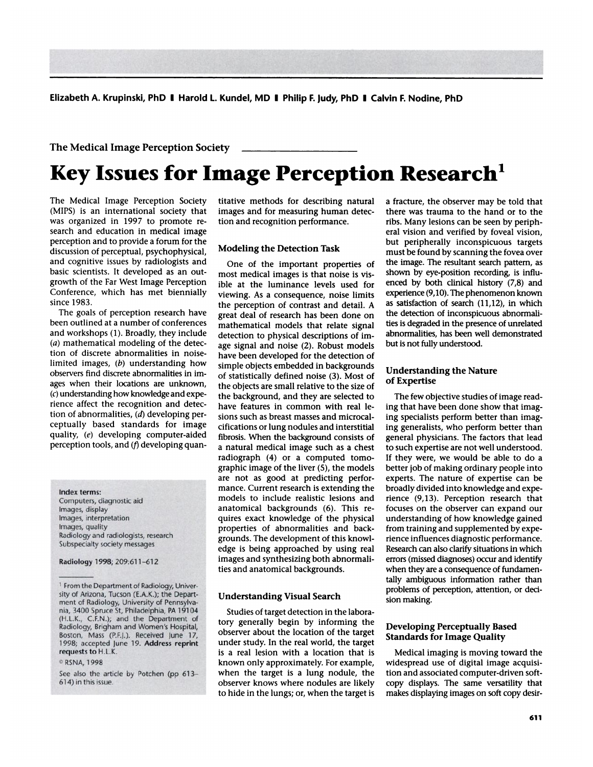Elizabeth A. Krupinski, **PhD I Harold 1. Kundel, MD I Philip F. Judy, PhD I** Calvin F. Nodine, PhD

# **The Medical Image Perception Society**

# **<sup>S</sup> Key Issues for Image Perception Research**

The Medical Image Perception Society (MIPS) is an international society that was organized in 1997 to promote re search and education in medical image perception and to provide a forum for the discussion of perceptual, psychophysical, and cognitive issues by radiologists and basic scientists. It developed as an out growth of the Far West Image Perception Conference, which has met biennially since 1983.

The goals of perception research have been outlined at a number of conferences and workshops (1). Broadly, they include **(a) mathematical modeling of the detec**tion of discrete abnormalities in noiselimited images, *(b)* understanding how observers find discrete abnormalities in images when their locations are unknown, *(c)* understanding how knowledge and experience affect the recognition and detection of abnormalities, *(d)* developing perceptually based standards for image quality, *(e)* developing computer-aided perception tools, and  $(f)$  developing quan-

#### **Index terms:**

Computers, diagnostic aid Images, display Images, interpretation Images, quality Radiology and radiologists, research Subspecialty society messages

**Radiology** 1998; 209:611-612

©RSNA, 1998

titative methods for describing natural images and for measuring human detection and recognition performance.

#### **Modeling the Detection Task**

One of the important properties of most medical images is that noise is visible at the luminance levels used for viewing. As a consequence, noise limits the perception of contrast and detail. A great deal of research has been done on mathematical models that relate signal detection to physical descriptions of image signal and noise (2). Robust models have been developed for the detection of simple objects embedded in backgrounds of statistically defined noise (3). Most of the objects are small relative to the size of the background, and they are selected to have features in common with real lesions such as breast masses and microcalcifications or lung nodules and interstitial fibrosis. When the background consists of a natural medical image such as a chest radiograph (4) or a computed tomo graphic image of the liver (5), the models are not as good at predicting perfor mance. Current research is extending the models to include realistic lesions and anatomical backgrounds (6). This re quires exact knowledge of the physical properties of abnormalities and backgrounds. The development of this knowledge is being approached by using real images and synthesizing both abnormalities and anatomical backgrounds.

#### **Understanding Visual Search**

Studies of target detection in the laboratory generally begin by informing the observer about the location of the target under study. In the real world, the target is a real lesion with a location that is known only approximately. For example, when the target is a lung nodule, the observer knows where nodules are likely to hide in the lungs; or, when the target is a fracture, the observer may be told that there was trauma to the hand or to the ribs. Many lesions can be seen by peripheral vision and verified by foveal vision, but peripherally inconspicuous targets must be found by scanning the fovea over the image. The resultant search pattern, as shown by eye-position recording, is influenced by both clinical history (7,8) and experience (9, 10). The phenomenon known as satisfaction of search (11,12), in which the detection of inconspicuous abnormalities is degraded in the presence of unrelated abnormalities, has been well demonstrated but is not fully understood.

#### **Understanding the Nature of Expertise**

The few objective studies of image reading that have been done show that imaging specialists perform better than imaging generalists, who perform better than general physicians. The factors that lead to such expertise are not well understood. If they were, we would be able to do a better job of making ordinary people into experts. The nature of expertise can be broadly divided into knowledge and experience (9,13). Perception research that focuses on the observer can expand our understanding of how knowledge gained from training and supplemented by experience influences diagnostic performance. Research can also clarify situations in which errors (missed diagnoses) occur and identify when they are a consequence of fundamentally ambiguous information rather than problems of perception, attention, or decision making.

## **Developing Perceptually Based Standards for Image Quality**

Medical imaging is moving toward the widespread use of digital image acquisition and associated computer-driven softcopy displays. The same versatility that makes displaying images on soft copy desir-

<sup>&</sup>lt;sup>1</sup> From the Department of Radiology, University of Arizona, Tucson (E.A.K.); the Depart- ment of Radiology, University of Pennsylvania, 3400 Spruce St, Philadelphia, PA 19104 (H.L.K., C.F.N.); and the Department of Radiology, Brigham and Women's Hospital, Boston, Mass (P.F.J.). Received June 17, 1998; accepted June 19. Address reprint **requests to H.L.K.**

See also the article by Potchen (pp 613- 614) in this issue.